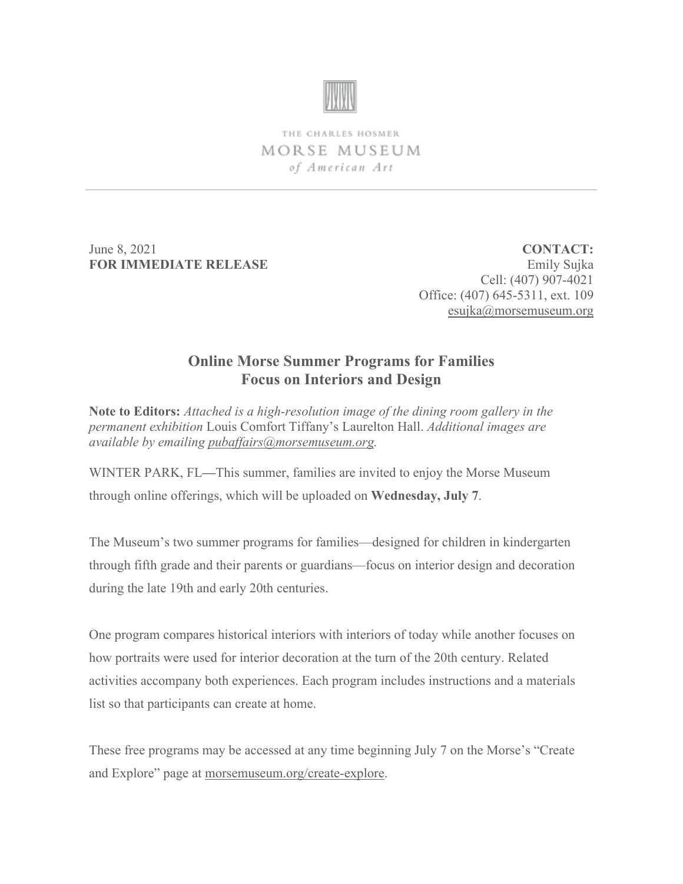

THE CHARLES HOSMER MORSE MUSEUM of American Art

June 8, 2021 **FOR IMMEDIATE RELEASE**

**CONTACT:** Emily Sujka Cell: (407) 907-4021 Office: (407) 645-5311, ext. 109 [esujka@morsemuseum.org](mailto:esujka@morsemuseum.org)

## **Online Morse Summer Programs for Families Focus on Interiors and Design**

**Note to Editors:** *Attached is a high-resolution image of the dining room gallery in the permanent exhibition* Louis Comfort Tiffany's Laurelton Hall. *Additional images are available by emailing [pubaffairs@morsemuseum.org.](mailto:pubaffairs@morsemuseum.org)*

WINTER PARK, FL**—**This summer, families are invited to enjoy the Morse Museum through online offerings, which will be uploaded on **Wednesday, July 7**.

The Museum's two summer programs for families—designed for children in kindergarten through fifth grade and their parents or guardians—focus on interior design and decoration during the late 19th and early 20th centuries.

One program compares historical interiors with interiors of today while another focuses on how portraits were used for interior decoration at the turn of the 20th century. Related activities accompany both experiences. Each program includes instructions and a materials list so that participants can create at home.

These free programs may be accessed at any time beginning July 7 on the Morse's "Create and Explore" page at [morsemuseum.org/create-explore.](https://www.morsemuseum.org/create-explore)